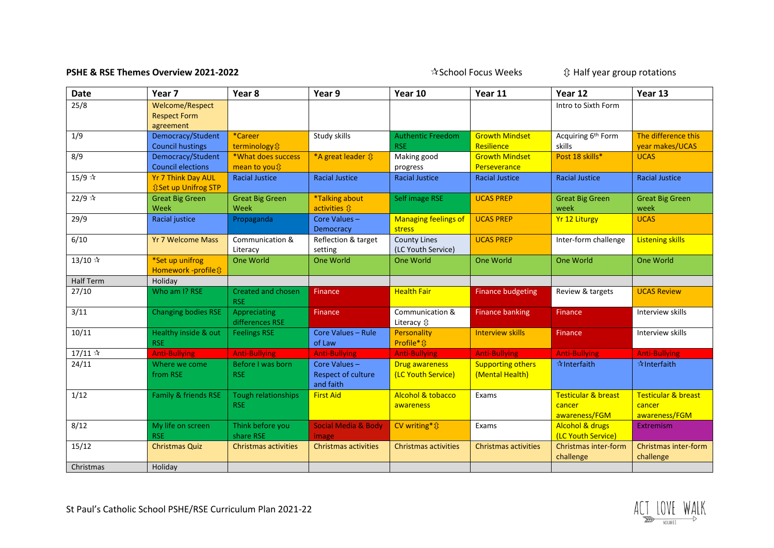## **PSHE & RSE Themes Overview 2021-2022** School Focus Weeks  $\hat{X}$  Half year group rotations

| <b>Date</b>     | Year <sub>7</sub>                                                      | Year 8                                   | Year 9                                                 | Year 10                                        | Year 11                                     | Year 12                                                   | Year 13                                                   |
|-----------------|------------------------------------------------------------------------|------------------------------------------|--------------------------------------------------------|------------------------------------------------|---------------------------------------------|-----------------------------------------------------------|-----------------------------------------------------------|
| 25/8            | <b>Welcome/Respect</b><br><b>Respect Form</b><br>agreement             |                                          |                                                        |                                                |                                             | Intro to Sixth Form                                       |                                                           |
| 1/9             | Democracy/Student<br><b>Council hustings</b>                           | *Career<br>terminology $\hat{v}$         | Study skills                                           | <b>Authentic Freedom</b><br><b>RSE</b>         | <b>Growth Mindset</b><br>Resilience         | Acquiring 6 <sup>th</sup> Form<br>skills                  | The difference this<br>year makes/UCAS                    |
| 8/9             | Democracy/Student<br><b>Council elections</b>                          | *What does success<br>mean to you {}     | *A great leader $\hat{v}$                              | Making good<br>progress                        | <b>Growth Mindset</b><br>Perseverance       | Post 18 skills*                                           | <b>UCAS</b>                                               |
| 15/9 ☆          | <b>Yr 7 Think Day AUL</b><br><b><i><b>Û</b></i> Set up Unifrog STP</b> | <b>Racial Justice</b>                    | <b>Racial Justice</b>                                  | <b>Racial Justice</b>                          | <b>Racial Justice</b>                       | <b>Racial Justice</b>                                     | <b>Racial Justice</b>                                     |
| 22/9 $\sqrt{x}$ | <b>Great Big Green</b><br>Week                                         | <b>Great Big Green</b><br>Week           | *Talking about<br>activities $\hat{\mathbf{u}}$        | Self image RSE                                 | <b>UCAS PREP</b>                            | <b>Great Big Green</b><br>week                            | <b>Great Big Green</b><br>week                            |
| 29/9            | <b>Racial justice</b>                                                  | Propaganda                               | Core Values-<br>Democracy                              | <b>Managing feelings of</b><br>stress          | <b>UCAS PREP</b>                            | <b>Yr 12 Liturgy</b>                                      | <b>UCAS</b>                                               |
| 6/10            | <b>Yr 7 Welcome Mass</b>                                               | Communication &<br>Literacy              | Reflection & target<br>setting                         | <b>County Lines</b><br>(LC Youth Service)      | <b>UCAS PREP</b>                            | Inter-form challenge                                      | <b>Listening skills</b>                                   |
| 13/10 $\approx$ | *Set up unifrog<br>Homework -profile \$                                | One World                                | <b>One World</b>                                       | <b>One World</b>                               | One World                                   | One World                                                 | One World                                                 |
| Half Term       | Holiday                                                                |                                          |                                                        |                                                |                                             |                                                           |                                                           |
| 27/10           | Who am I? RSE                                                          | <b>Created and chosen</b><br><b>RSE</b>  | Finance                                                | <b>Health Fair</b>                             | <b>Finance budgeting</b>                    | Review & targets                                          | <b>UCAS Review</b>                                        |
| 3/11            | <b>Changing bodies RSE</b>                                             | Appreciating<br>differences RSE          | Finance                                                | Communication &<br>Literacy $\hat{\mathbb{U}}$ | <b>Finance banking</b>                      | Finance                                                   | Interview skills                                          |
| 10/11           | Healthy inside & out<br><b>RSE</b>                                     | <b>Feelings RSE</b>                      | Core Values - Rule<br>of Law                           | Personality<br>Profile <sup>*</sup> ↓          | <b>Interview skills</b>                     | <b>Finance</b>                                            | Interview skills                                          |
| 17/11 $\approx$ | <b>Anti-Bullying</b>                                                   | <b>Anti-Bullying</b>                     | <b>Anti-Bullying</b>                                   | <b>Anti-Bullying</b>                           | <b>Anti-Bullying</b>                        | <b>Anti-Bullying</b>                                      | <b>Anti-Bullying</b>                                      |
| 24/11           | Where we come<br>from RSE                                              | Before I was born<br><b>RSE</b>          | Core Values-<br><b>Respect of culture</b><br>and faith | <b>Drug awareness</b><br>(LC Youth Service)    | <b>Supporting others</b><br>(Mental Health) | $\hat{X}$ Interfaith                                      | $\hat{z}$ Interfaith                                      |
| 1/12            | Family & friends RSE                                                   | <b>Tough relationships</b><br><b>RSE</b> | <b>First Aid</b>                                       | Alcohol & tobacco<br>awareness                 | Exams                                       | <b>Testicular &amp; breast</b><br>cancer<br>awareness/FGM | <b>Testicular &amp; breast</b><br>cancer<br>awareness/FGM |
| 8/12            | My life on screen<br><b>RSE</b>                                        | Think before you<br>share RSE            | Social Media & Body<br>image                           | CV writing * $\hat{U}$                         | Exams                                       | <b>Alcohol &amp; drugs</b><br>(LC Youth Service)          | Extremism                                                 |
| 15/12           | <b>Christmas Quiz</b>                                                  | <b>Christmas activities</b>              | <b>Christmas activities</b>                            | <b>Christmas activities</b>                    | <b>Christmas activities</b>                 | Christmas inter-form<br>challenge                         | Christmas inter-form<br>challenge                         |
| Christmas       | Holiday                                                                |                                          |                                                        |                                                |                                             |                                                           |                                                           |

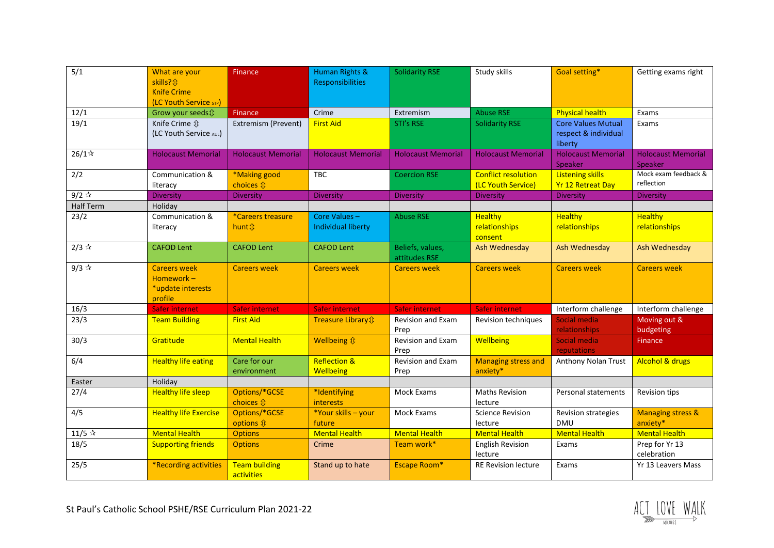| 5/1                 | What are your<br>skills? <b>Q</b>                                | <b>Finance</b>                              | <b>Human Rights &amp;</b><br><b>Responsibilities</b> | <b>Solidarity RSE</b>             | Study skills                                     | Goal setting*                                                | Getting exams right                      |
|---------------------|------------------------------------------------------------------|---------------------------------------------|------------------------------------------------------|-----------------------------------|--------------------------------------------------|--------------------------------------------------------------|------------------------------------------|
|                     | <b>Knife Crime</b><br>(LC Youth Service STP)                     |                                             |                                                      |                                   |                                                  |                                                              |                                          |
| 12/1                | Grow your seeds \$                                               | Finance                                     | Crime                                                | Extremism                         | <b>Abuse RSE</b>                                 | <b>Physical health</b>                                       | Exams                                    |
| 19/1                | Knife Crime $\hat{v}$<br>(LC Youth Service AUL)                  | Extremism (Prevent)                         | <b>First Aid</b>                                     | STI's RSE                         | <b>Solidarity RSE</b>                            | <b>Core Values Mutual</b><br>respect & individual<br>liberty | Exams                                    |
| $26/1$ *            | <b>Holocaust Memorial</b>                                        | <b>Holocaust Memorial</b>                   | <b>Holocaust Memorial</b>                            | <b>Holocaust Memorial</b>         | <b>Holocaust Memorial</b>                        | <b>Holocaust Memorial</b><br>Speaker                         | <b>Holocaust Memorial</b><br>Speaker     |
| 2/2                 | Communication &<br>literacy                                      | *Making good<br>choices $\hat{\mathbb{U}}$  | TBC                                                  | <b>Coercion RSE</b>               | <b>Conflict resolution</b><br>(LC Youth Service) | <b>Listening skills</b><br><b>Yr 12 Retreat Day</b>          | Mock exam feedback &<br>reflection       |
| $9/2$ $\sqrt[4]{x}$ | <b>Diversity</b>                                                 | Diversity                                   | Diversity                                            | <b>Diversity</b>                  | Diversity                                        | <b>Diversity</b>                                             | <b>Diversity</b>                         |
| Half Term           | Holiday                                                          |                                             |                                                      |                                   |                                                  |                                                              |                                          |
| 23/2                | Communication &<br>literacy                                      | <i>*Careers treasure</i><br>hunt <i>ft</i>  | Core Values-<br>Individual liberty                   | <b>Abuse RSE</b>                  | <b>Healthy</b><br>relationships<br>consent       | <b>Healthy</b><br>relationships                              | <b>Healthy</b><br>relationships          |
| $2/3$ $\sqrt{x}$    | <b>CAFOD Lent</b>                                                | <b>CAFOD Lent</b>                           | <b>CAFOD Lent</b>                                    | Beliefs, values,<br>attitudes RSE | Ash Wednesday                                    | Ash Wednesday                                                | Ash Wednesday                            |
| $9/3$ $\sqrt[4]{x}$ | <b>Careers week</b><br>Homework-<br>*update interests<br>profile | <b>Careers week</b>                         | <b>Careers week</b>                                  | <b>Careers week</b>               | <b>Careers week</b>                              | <b>Careers week</b>                                          | <b>Careers week</b>                      |
| 16/3                | <b>Safer internet</b>                                            | Safer internet                              | Safer internet                                       | Safer internet                    | Safer internet                                   | Interform challenge                                          | Interform challenge                      |
| 23/3                | <b>Team Building</b>                                             | <b>First Aid</b>                            | Treasure Library \$                                  | Revision and Exam<br>Prep         | Revision techniques                              | Social media<br>relationships                                | Moving out &<br>budgeting                |
| 30/3                | Gratitude                                                        | <b>Mental Health</b>                        | Wellbeing $\hat{v}$                                  | Revision and Exam<br>Prep         | Wellbeing                                        | Social media<br>reputations                                  | Finance                                  |
| 6/4                 | <b>Healthy life eating</b>                                       | Care for our<br>environment                 | <b>Reflection &amp;</b><br><b>Wellbeing</b>          | Revision and Exam<br>Prep         | <b>Managing stress and</b><br>anxiety*           | Anthony Nolan Trust                                          | <b>Alcohol &amp; drugs</b>               |
| Easter              | Holiday                                                          |                                             |                                                      |                                   |                                                  |                                                              |                                          |
| 27/4                | <b>Healthy life sleep</b>                                        | Options/*GCSE<br>choices $\hat{\mathbb{U}}$ | *Identifying<br><b>interests</b>                     | Mock Exams                        | <b>Maths Revision</b><br>lecture                 | Personal statements                                          | Revision tips                            |
| 4/5                 | <b>Healthy life Exercise</b>                                     | Options/*GCSE<br>options $\hat{\mathbf{u}}$ | *Your skills - your<br>future                        | Mock Exams                        | <b>Science Revision</b><br>lecture               | Revision strategies<br><b>DMU</b>                            | <b>Managing stress &amp;</b><br>anxiety* |
| 11/5 $\approx$      | <b>Mental Health</b>                                             | <b>Options</b>                              | <b>Mental Health</b>                                 | <b>Mental Health</b>              | <b>Mental Health</b>                             | <b>Mental Health</b>                                         | <b>Mental Health</b>                     |
| 18/5                | <b>Supporting friends</b>                                        | <b>Options</b>                              | Crime                                                | Team work*                        | <b>English Revision</b><br>lecture               | Exams                                                        | Prep for Yr 13<br>celebration            |
| 25/5                | *Recording activities                                            | <b>Team building</b><br>activities          | Stand up to hate                                     | <b>Escape Room*</b>               | <b>RE Revision lecture</b>                       | Exams                                                        | Yr 13 Leavers Mass                       |